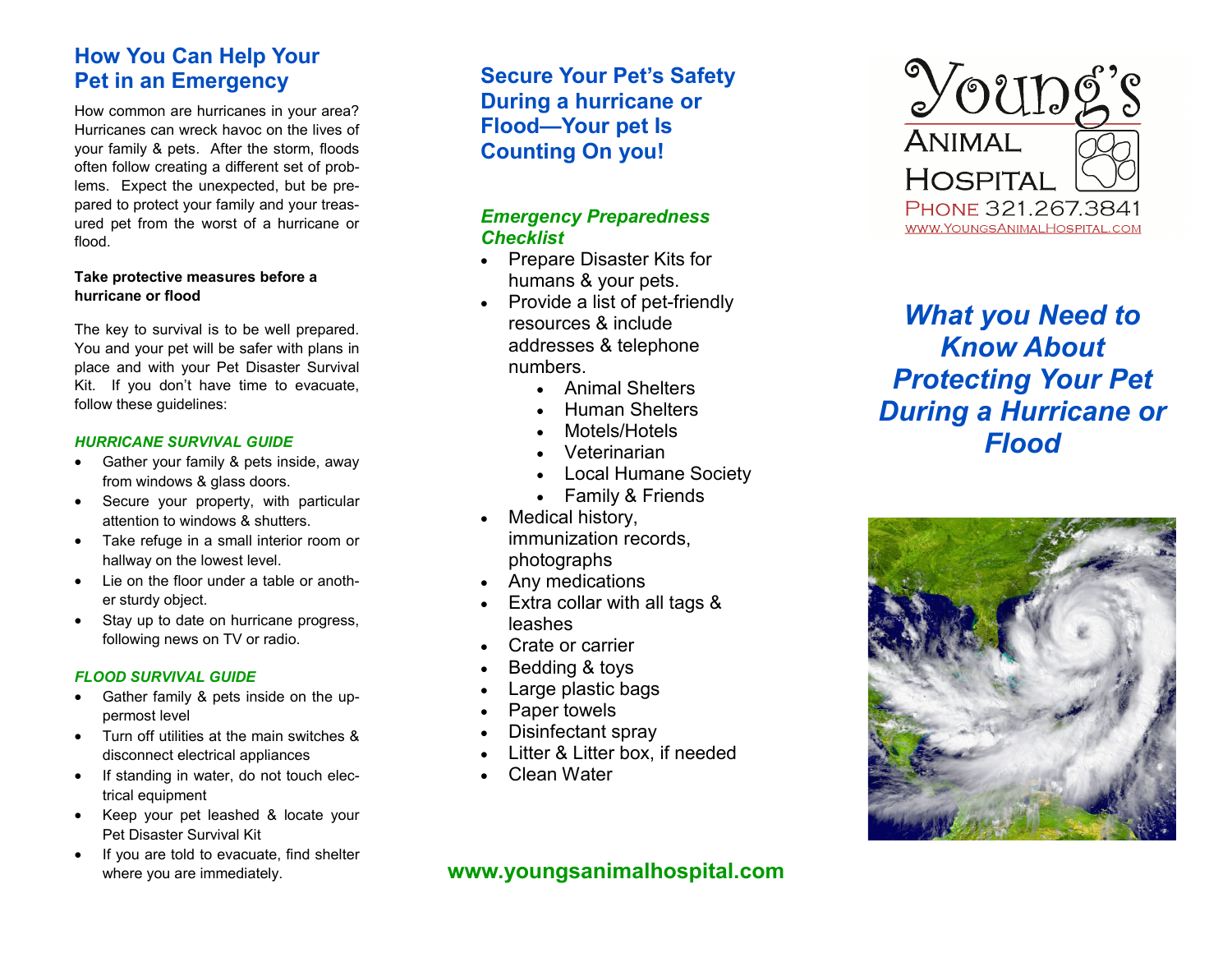# **How You Can Help Your Pet in an Emergency**

How common are hurricanes in your area? Hurricanes can wreck havoc on the lives of your family & pets. After the storm, floods often follow creating a different set of problems. Expect the unexpected, but be prepared to protect your family and your treasured pet from the worst of a hurricane or flood.

#### **Take protective measures before a hurricane or flood**

The key to survival is to be well prepared. You and your pet will be safer with plans in place and with your Pet Disaster Survival Kit. If you don't have time to evacuate, follow these guidelines:

#### *HURRICANE SURVIVAL GUIDE*

- Gather your family & pets inside, away from windows & glass doors.
- Secure your property, with particular attention to windows & shutters.
- Take refuge in a small interior room or hallway on the lowest level.
- $\bullet$  Lie on the floor under a table or another sturdy object.
- Stay up to date on hurricane progress, following news on TV or radio.

#### *FLOOD SURVIVAL GUIDE*

- Gather family & pets inside on the uppermost level
- Turn off utilities at the main switches & disconnect electrical appliances
- If standing in water, do not touch electrical equipment
- Keep your pet leashed & locate your Pet Disaster Survival Kit
- If you are told to evacuate, find shelter where you are immediately.

**Secure Your Pet's Safety During a hurricane or Flood—Your pet Is Counting On you!**

#### *Emergency Preparedness Checklist*

- Prepare Disaster Kits for humans & your pets.
- Provide a list of pet-friendly resources & include addresses & telephone numbers.
	- Animal Shelters
	- Human Shelters
	- Motels/Hotels
	- Veterinarian
	- Local Humane Society
	- Family & Friends
- Medical history, immunization records, photographs
- Any medications
- Extra collar with all tags & leashes
- Crate or carrier
- Bedding & toys
- Large plastic bags
- Paper towels
- Disinfectant spray
- Litter & Litter box, if needed
- Clean Water

# **www.youngsanimalhospital.com**



*What you Need to Know About Protecting Your Pet During a Hurricane or Flood*